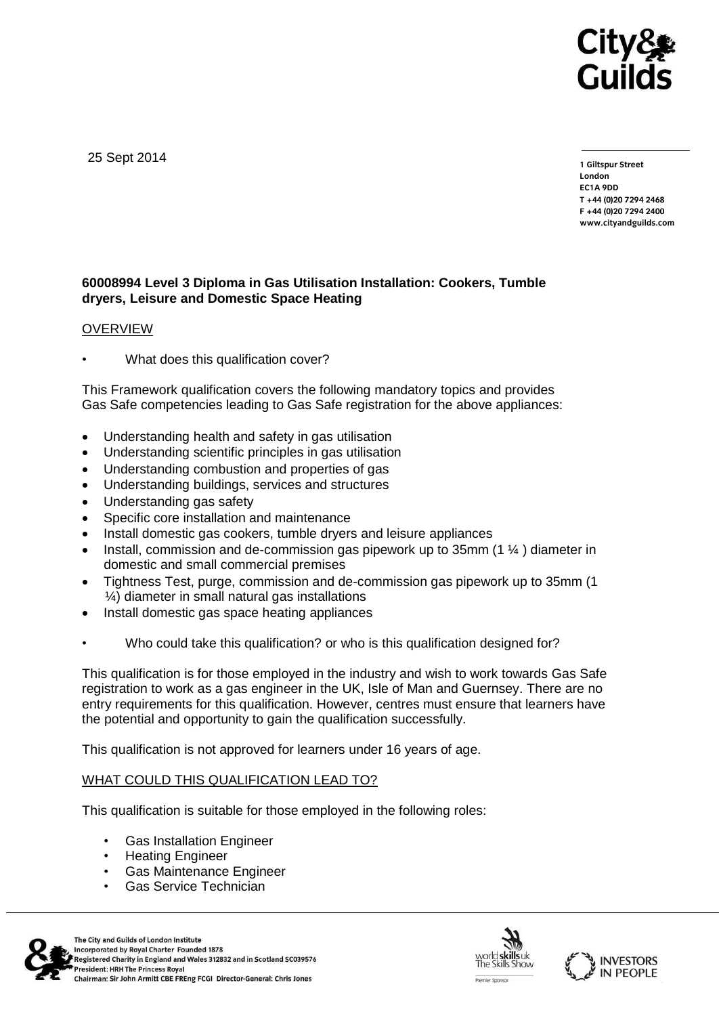

25 Sept 2014

**1 Giltspur Street EC1A 9DD** T +44 (0) 20 7 294 2468 **T +44 (0)20 7294 246[8](http://www.cityandguilds.com/) F +44 (0)20 7294 2400 [www.cityandguilds.com](http://www.cityandguilds.com/)**

# **60008994 Level 3 Diploma in Gas Utilisation Installation: Cookers, Tumble dryers, Leisure and Domestic Space Heating**

## OVERVIEW

What does this qualification cover?

This Framework qualification covers the following mandatory topics and provides Gas Safe competencies leading to Gas Safe registration for the above appliances:

- Understanding health and safety in gas utilisation
- Understanding scientific principles in gas utilisation
- Understanding combustion and properties of gas
- Understanding buildings, services and structures
- Understanding gas safety
- Specific core installation and maintenance
- Install domestic gas cookers, tumble dryers and leisure appliances
- Install, commission and de-commission gas pipework up to 35mm (1 ¼ ) diameter in domestic and small commercial premises
- Tightness Test, purge, commission and de-commission gas pipework up to 35mm (1 ¼) diameter in small natural gas installations
- Install domestic gas space heating appliances
- Who could take this qualification? or who is this qualification designed for?

This qualification is for those employed in the industry and wish to work towards Gas Safe registration to work as a gas engineer in the UK, Isle of Man and Guernsey. There are no entry requirements for this qualification. However, centres must ensure that learners have the potential and opportunity to gain the qualification successfully.

This qualification is not approved for learners under 16 years of age.

# WHAT COULD THIS QUALIFICATION LEAD TO?

This qualification is suitable for those employed in the following roles:

- Gas Installation Engineer
- Heating Engineer
- Gas Maintenance Engineer
- Gas Service Technician